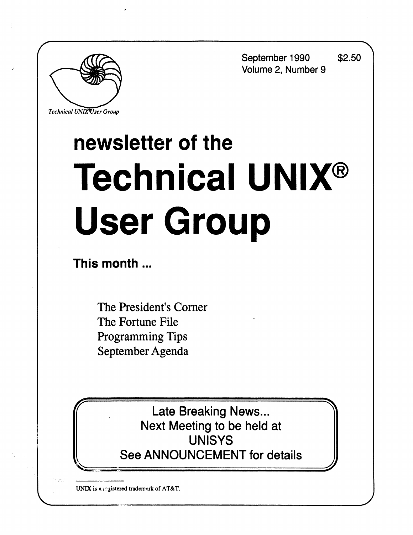**September 1990 \$2.50 Volume 2, Number 9** 

**J** 



**Technical UNIX User Group** 

# **newsletter of the Technical UNIX® User Group**

**This month...** 

The President's Corner The Fortune File Programming Tips September Agenda

> Late Breaking News... Next Meeting to be held at UNISYS See ANNOUNCEMENT for details

**UNIX** *is* **« registered trademark of AT&T.**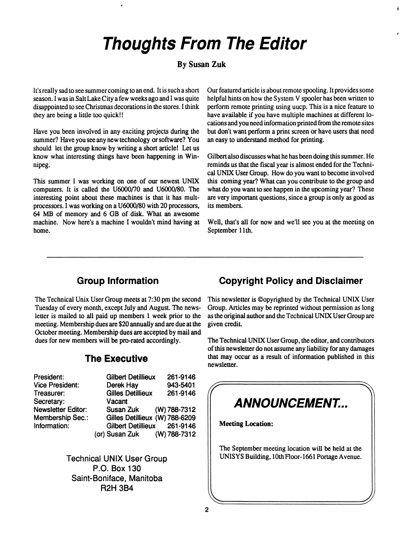## **Thoughts From The Editor**

#### **By Susan Zuk**

It's really sad to see summer coming to an end. It is such a short season. I was in Salt Lake City a few weeks ago and I was quite disappointed to see Christmas decorations in the stores. I think they are being a little too quick!!

Have you been involved in any exciting projects during the summer? Have you see any new technology or software? You should let the group know by writing a short article! Let us know what interesting things have been happening in Winnipeg.

This summer I was working on one of our newest UNIX computers. It is called the U6000/70 and U6000/80. The interesting point about these machines is that it has multprocessors. I was working on a U6000/80 with 20 processors, 64 MB of memory and 6 GB of disk. What an awesome machine. Now here's a machine I wouldn't mind having at home.

Our featured article is about remote spooling. It provides some helpful hints on how the System V spooler has been written to perform remote printing using uucp. This is a nice feature to have available if you have multiple machines at different locations and you need information printed from the remote sites but don't want perform a print screen or have users that need an easy to understand method for printing.

Gilbert also discusses what he has been doing this summer. He reminds us that the fiscal year is almost ended for the Technical UNIX User Group. How do you want to become involved this coming year? What can you contribute to the group and what do you want to see happen in the upcoming year? These are very important questions, since a group is only as good as its members.

Well, that's all for now and we'll see you at the meeting on September 11th.

#### **Group Information**

The Technical Unix User Group meets at 7:30 pm the second Tuesday of every month, except July and August. The newsletter is mailed to all paid up members 1 week prior to the meeting. Membership dues are \$20 annually and are due at the October meeting. Membership dues are accepted by mail and dues for new members will be pro-rated accordingly.

#### **The Executive**

| President:                | <b>Gilbert Detillieux</b>      | 261-9146 |
|---------------------------|--------------------------------|----------|
| <b>Vice President:</b>    | Derek Hay                      | 943-5401 |
| Treasurer:                | <b>Gilles Detillieux</b>       | 261-9146 |
| Secretary:                | Vacant                         |          |
| <b>Newsletter Editor:</b> | Susan Zuk (W) 788-7312         |          |
| <b>Membership Sec.:</b>   | Gilles Detillieux (W) 788-6209 |          |
| Information:              | Gilbert Detillieux 261-9146    |          |
|                           | (or) Susan Zuk (W) 788-7312    |          |

Technical UNIX User Group P.O. Box 130 Saint-Boniface, Manitoba R2H 3B4

#### **Copyright Policy and Disclaimer**

This newsletter is ©opyrighted by the Technical UNIX User Group. Articles may be reprinted without permission as long as **the** original **author** and the Technical UNIX User Group are given credit.

The **Technical** UNIX User **Group,** the editor, and contributors of this newsletter do not assume any **liability for** any damages **that may occur as** a **result** of **information published in this newsletter.** 

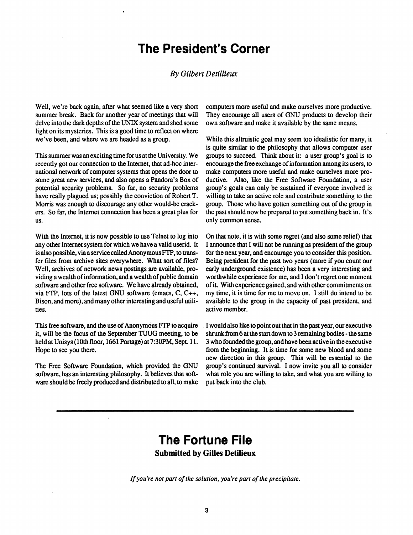## **The President's Corner**

#### *By Gilbert Detillieux*

**Well, we're back again, after what seemed like a very short summer break. Back for another year of meetings that will delve into the dark depths of the UNIX system and shed some light on its mysteries. This is a good time to reflect on where we've been, and where we are headed as a group.** 

**This summer was an exciting time for us at the University. We recently got our connection to the Internet, that ad-hoc international network of computer systems that opens the door to some great new services, and also opens a Pandora's Box of potential security problems. So far, no security problems have really plagued us; possibly the conviction of Robert T. Morris was enough to discourage any other would-be crackers. So far, the Internet connection has been a great plus for us.** 

**With the Internet, it is now possible to use Telnet to log into any other Internet system for which we have a valid userid. It is also possible, via a service called Anonymous FTP, to transfer files from archive sites everywhere. What sort of files? Well, archives of network news postings are available, providing a wealth of information, and a wealth of public domain software and other free software. We have already obtained, via FTP, lots of the latest GNU software (emacs, C, C++, Bison, and more), and many other interesting and useful utilities.** 

**This free software, and the use of Anonymous FTP to acquire it, will be the focus of the September TUUG meeting, to be**  held at Unisys (10th floor, 1661 Portage) at 7:30PM, Sept. 11. **Hope to see you there.** 

**The Free Software Foundation, which provided the GNU software, has an interesting philosophy. It believes that software should be freely produced and distributed to all, to make**  **computers more useful and make ourselves more productive. They encourage all users of GNU products to develop their own software and make it available by the same means.** 

**While this altruistic goal may seem too idealistic for many, it is quite similar to the philosophy that allows computer user groups to succeed. Think about it: a user group's goal is to encourage the free exchange of information among its users, to make computers more useful and make ourselves more productive. Also, like the Free Software Foundation, a user group's goals can only be sustained if everyone involved is willing to take an active role and contribute something to the group. Those who have gotten something out of the group in the past should now be prepared to put something back in. It's only common sense.** 

**On that note, it is with some regret (and also some relief) that I announce that I will not be running as president of the group for the next year, and encourage you to consider this position. Being president for the past two years (more if you count our early underground existence) has been a very interesting and worthwhile experience for me, and I don't regret one moment of it With experience gained, and with other commitments on my time, it is time for me to move on. I still do intend to be available to the group in the capacity of past president, and active member.** 

**I would also like to point out that in the past year, our executive shrunk from 6 at the start down to 3 remaining bodies - the same 3 who founded the group, and have been active in the executive from the beginning. It is time for some new blood and some new direction in this group. This will be essential to the group's continued survival. I now invite you all to consider what role you are willing to take, and what you are willing to put back into the club.** 

### **The Fortune File Submitted by Gilles Detilieux**

*If you're not part of the solution, you're part of the precipitate.*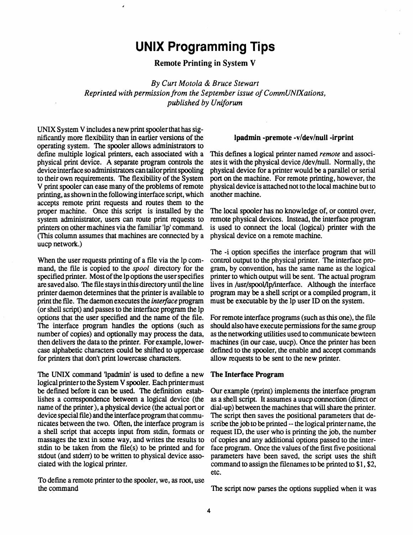## **UNIX Programming Tips**

**Remote Printing in** System **V** 

*By Curt Motola & Bruce Stewart Reprinted with permission from the September issue of CommUNIXations, published by Uniforum* 

UNIX System V includes a new print spooler that has significantly more flexibility than in earlier versions of the operating system. The spooler allows administrators to define multiple logical printers, each associated with a physical print device. A separate program controls the device interface so administrators can tailor print spooling to their own requirements. The flexibility of the System V print spooler can ease many of the problems of remote printing, as shown in the following interface script, which accepts remote print requests and routes them to the proper machine. Once this script is installed by the system administrator, users can route print requests to printers on other machines via the familiar 'lp' command. (This column assumes that machines are connected by a uucp network.)

When the user requests printing of a file via the lp command, the file is copied to the *spool* directory for the specified printer. Most of the lp options the user specifies are saved also. The file stays in this directory until the line printer daemon determines that the printer is available to print the file. The daemon executes the *interface* program (or shell script) and passes to the interface program the lp options that the user specified and the name of the file. The interface program handles the options (such as number of copies) and optionally may process the data, then delivers the data to the printer. For example, lowercase alphabetic characters could be shifted to uppercase for printers that don't print lowercase characters.

The UNIX command Ipadmin' is used to define a new logical printer to the System V spooler. Each printer must be defined before it can be used. The definition establishes a correspondence between a logical device (the name of the printer), a physical device (the actual port or device special file) and the interface program that communicates between the two. Often, the interface program is a shell script that accepts input from stdin, formats or massages the text in some way, and writes the results to stdin to be taken from the file(s) to be printed and for stdout (and stderr) to be written to physical device associated with the logical printer.

To define a remote printer to the spooler, we, as root, use the command

#### **Ipadmin -premote -v/dev/null -irprint**

This defines a logical printer named *remote* and associates it with the physical device /dev/null. Normally, the physical device for a printer would be a parallel or serial port on the machine. For remote printing, however, the physical device is attached not to the local machine but to another machine.

The local spooler has no knowledge of, or control over, remote physical devices. Instead, the interface program is used to connect the local (logical) printer with the physical device on a remote machine.

The -i option specifies the interface program that will control output to the physical printer. The interface program, by convention, has the same name as the logical printer to which output will be sent. The actual program lives in /usr/spool/lp/interface. Although the interface program may be a shell script or a compiled program, it must be executable by the lp user ID on the system.

For remote interface programs (such as this one), the file should also have execute permissions for the same group as the networking utilities used to communicate bewteen machines (in our case, uucp). Once the printer has been defined to the spooler, the enable and accept commands allow requests to be sent to the new printer.

#### **The Interface Program**

Our example (rprint) implements the interface program as a shell script. It assumes a uucp connection (direct or dial-up) between the machines that will share the printer. The script then saves the positional parameters that describe the job to be printed - the logical printer name, the request ID, the user who is printing the job, the number of copies and any additional options passed to the interface program. Once the values of the first five positional parameters have been saved, the script uses the shift command to assign the filenames to be printed to  $$1, $2$ , etc.

The script now parses the options supplied when it was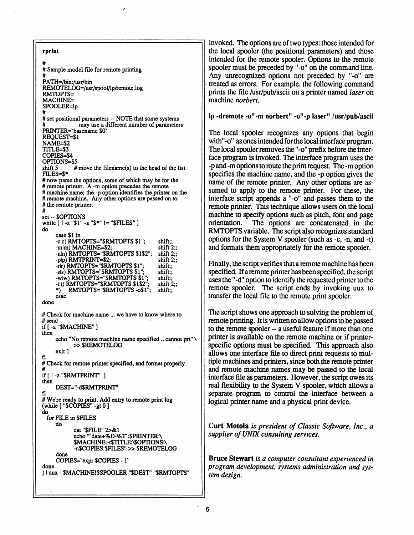**rprint # # Sample model file for remote printing # PATH=/bin:/usr/bin REMOTEL(Xj=/usr/spool/lp/remote.log RMTOPTS= MACHINE= SPOOLER=lp**  # set positional parameters -- NOTE that some systems  $\frac{1}{2}$  may use a different number of parameters **PRINTER= basename \$0**<sup>5</sup><br>REQUEST=\$1 **REQUEST=\$1 NAME=\$2 NAME=\$2 COPIES=\$4**  $OPTIONS = $5$ <br>shift 5  $#$  move the filename(s) to the head of the list shift 5<br>FILES=\$\* **shift 5**  $\frac{1}{2}$  **filles = 3** move the filence the file  $\frac{1}{2}$  of the list  $\frac{1}{2}$  of the list  $\frac{1}{2}$  of the list  $\frac{1}{2}$  of the list  $\frac{1}{2}$  of the list  $\frac{1}{2}$  of the list of the list of the list of the li **FILAGE PROPERTY** # remote printer. A -m option precedes the remote # machine name; the -p option identifies the printer on the # remote machine. Any other options are passed on to # the remote printer. **# remote machine. Any other options are passed on to**   $set -$  **SOPTIONS** while  $[ \cdot ] -z$  "\$1" -a "\$\*"  $!=$  "\$FILES"  $]$ **set -- SOPTIONS**  *<u>case \$1 in*</u>  $-$ clc) **RMTOPTS**="**\$RMTOPTS \$1**": shift;; -mlm) MACHINE=\$2; shift  $2$ ;; -nln) RMTOPTS="\$RMTOPTS \$1\$2"; shift 2 **-plp) RIM LPRIN L=32;** shift 2;;<br>ala da the media the property of the same shift... -rlr) RMTOPTS="\$RMTOPTS \$1"; shift;;<br>-sls) RMTOPTS="\$RMTOPTS \$1"; shift;; -pip) RMTOPTS="\$RMTOPTS\_\$1" shift" **-tit) RMTOPTS="\$RMTOPTS \$1\$2";** shift 2;;<br>\*) RMTOPTS="\$RMTOPTS -o\$1"; shift;; -rlt) **RMTOPTS="\$RMTOPTS \$1\$2":** shift 2 **\$RMTOPTS \$1<sup>M</sup>; shift;;**   $\text{esac}$ done **\*) RMTOPTS=<sup>M</sup>\$RMTOPTS -o\$l"; shift;; esac**  # send  $\text{ if }$  [ -z "\$MACHINE" ] then echo "No remote machine name specified .. cannot prt" \ <br>>> \$REMOTELOG **exit**  $\bf{I}$ fi **» SREMOTELOG exit 1 fi # Check for and format printer specified, and format properties of the properties of the properties of the properties of the properties of the properties of the properties of the properties of the properties of the proper inen**<br>DEST-" asdratddi **then #** We're ready to print. Add entry to remote print  $log$ **fi**  where **v we're ready to prove property (do**<br>for EIIE in CEIIES **-gtO] do do**<br>cat "\$FILE" 2>&1 echo "'date+%D-%T':\$PRINTER:\ **c**CRO **080C+70D-70**<br>CALACURED CTT **EXACHINE:-:\$TTTLE:\\$OPTIONS**<br> **ASCOPIES:\$PU\_ES!! >> \$PEMOTI** -n\$COPIES:\$FILES" >> \$REMOTELOG done **-n\$COPIES:\$FILES<sup>M</sup> » SREMOTELOG done**  done  $\mathbf{C}$  **COPIES EXPLORED A done** 

invoked. The options are of two types: those intended for **the local spooler (the positional parameters) and those intended for the remote spooler. Options to the remote**  spooler must be preceded by "-o" on the command line. **Any unrecognized options not preceded by "-o" are treated as errors. For example, the following command prints the file /usr/pub/ascii on a printer named** *laser* **on**  machine *norbert.* 

lp -dremote -o"-m norbert" -o"-p laser" /usr/pub/ascii

**The local spooler recognizes any options that begin**  with"-o" as ones intended for the local interface program. **The local spooler removes the "-o" prefix before the interface program is invoked. The interface program uses the -p and -m options to route the print request. The -m option specifies the machine name, and the -p option gives the name of the remote printer. Any other options are assumed to apply to the remote printer. For these, the interface script appends a "-o" and passes them to the remote printer. This technique allows users on the local machine to specify options such as pitch, font and page orientation. The options are concatenated in the RMTOPTS variable. The script also recognizes standard options for the System V spooler (such as -c, -n, and -t) and formats them appropriately for the remote spooler.** 

**Finally, the script verifies that a remote machine has been specified. If a remote printer has been specified, the script uses the "-d<sup>M</sup> option to identify the requested printer to the remote spooler. The script ends by invoking uux to transfer the local file to the remote print spooler.** 

**The script shows one approach to solving the problem of | remote printing. It is written to allow options to be passed to the remote spooler - a useful feature if more than one printer is available on the remote machine or if printerspecific options must be specified. This approach also allows one interface file to direct print requests to mul-I tiple machines and printers, since both the remote printer and remote machine names may be passed to the local interface file as parameters. However, the script owes its real flexibility to the System V spooler, which allows a separate program to control the interface between a logical printer name and a physical print device.** 

**Curt Motola** *is president of Classic Software, Inc., a supplier of UNIX consulting services.* 

**Bruce Stewart** *is a computer consultant experienced in program development, systems administration and system design.*